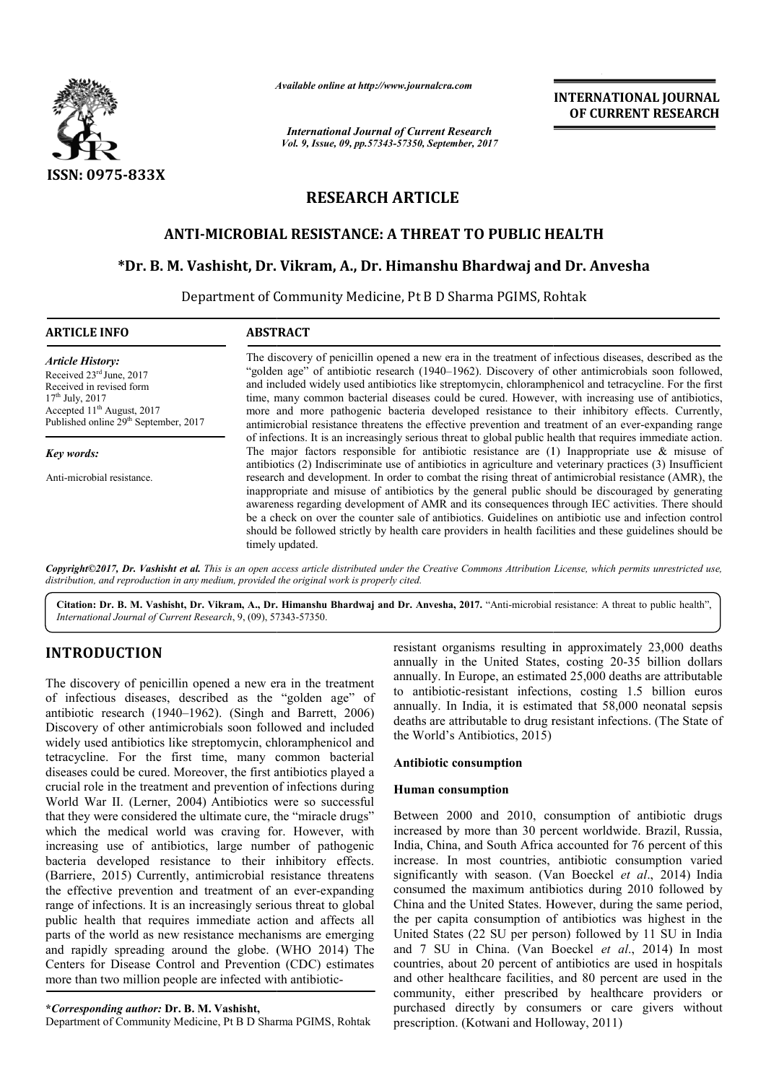

*Available online at http://www.journal http://www.journalcra.com*

*International Journal of Current Research Vol. 9, Issue, 09, pp.57343-57350, September, 2017* **INTERNATIONAL JOURNAL OF CURRENT RESEARCH** 

# **RESEARCH ARTICLE**

# **ANTI-MICROBIAL RESISTANCE: A THREAT TO PUBLIC HEALTH MICROBIAL TO PUBLIC**

# **\*Dr. B. M. Vashisht, Dr. Vikram MICROBIAL Dr. Vikram, A., Dr. Himanshu Bhardwaj and and Dr. Anvesha**

Department of Community Medicine, Pt B D Sharma PGIMS, Rohtak

| <b>ARTICLE INFO</b>                                                                                    | <b>ABSTRACT</b>                                                                                                                                                                                                                                                                                                |
|--------------------------------------------------------------------------------------------------------|----------------------------------------------------------------------------------------------------------------------------------------------------------------------------------------------------------------------------------------------------------------------------------------------------------------|
| <b>Article History:</b>                                                                                | The discovery of penicillin opened a new era in the treatment of infectious diseases, described as the                                                                                                                                                                                                         |
| Received 23 <sup>rd</sup> June, 2017                                                                   | "golden age" of antibiotic research (1940–1962). Discovery of other antimicrobials soon followed,                                                                                                                                                                                                              |
| Received in revised form                                                                               | and included widely used antibiotics like streptomycin, chloramphenicol and tetracycline. For the first                                                                                                                                                                                                        |
| $17th$ July, 2017<br>Accepted $11th$ August, 2017<br>Published online 29 <sup>th</sup> September, 2017 | time, many common bacterial diseases could be cured. However, with increasing use of antibiotics,<br>more and more pathogenic bacteria developed resistance to their inhibitory effects. Currently,<br>antimicrobial resistance threatens the effective prevention and treatment of an ever-expanding range    |
|                                                                                                        | of infections. It is an increasingly serious threat to global public health that requires immediate action.                                                                                                                                                                                                    |
| Key words:                                                                                             | The major factors responsible for antibiotic resistance are $(1)$ Inappropriate use & misuse of<br>antibiotics (2) Indiscriminate use of antibiotics in agriculture and veterinary practices (3) Insufficient                                                                                                  |
| Anti-microbial resistance.                                                                             | research and development. In order to combat the rising threat of antimicrobial resistance (AMR), the<br>inappropriate and misuse of antibiotics by the general public should be discouraged by generating<br>awareness regarding development of AMR and its consequences through IEC activities. There should |
|                                                                                                        | be a check on over the counter sale of antibiotics. Guidelines on antibiotic use and infection control<br>should be followed strictly by health care providers in health facilities and these guidelines should be<br>timely updated.                                                                          |

Citation: Dr. B. M. Vashisht, Dr. Vikram, A., Dr. Himanshu Bhardwaj and Dr. Anvesha, 2017. "Anti-microbial resistance: A threat to public health", *International Journal of Current Research*, 9, (09), 57343 57343-57350.

## **INTRODUCTION**

The discovery of penicillin opened a new era in the treatment of infectious diseases, described as the "golden age" of antibiotic research (1940–1962). (Singh and Barrett, 2006) Discovery of other antimicrobials soon followed and included widely used antibiotics like streptomycin, chloramphenicol and tetracycline. For the first time, many common bacterial diseases could be cured. Moreover, the first antibiotics played a crucial role in the treatment and prevention of infections during World War II. (Lerner, 2004) Antibiotics were so successful that they were considered the ultimate cure, the "miracle drugs" which the medical world was craving for. However, with increasing use of antibiotics, large number of pathogenic bacteria developed resistance to their inhibitory effects. (Barriere, 2015) Currently, antimicrobial resistance threatens the effective prevention and treatment of an ever-expanding range of infections. It is an increasingly serious threat to global public health that requires immediate action and affects all parts of the world as new resistance mechanisms are emerging and rapidly spreading around the globe. (WHO 2014) The Centers for Disease Control and Prevention (CDC) estimates more than two million people are infected with antib antibiotic-

Department of Community Medicine, Pt B D Sharma PGIMS, Rohtak

resistant organisms resulting in approximately 23,000 deaths annually in the United States, costing 20 20-35 billion dollars annually. In Europe, an estimated 25,000 deaths are attributable to antibiotic-resistant infections, costing 1.5 billion euros to antibiotic-resistant infections, costing 1.5 billion euros annually. In India, it is estimated that 58,000 neonatal sepsis deaths are attributable to drug resistant infections. (The State of the World's Antibiotics, 2015)

## **Antibiotic consumption**

## **Human consumption**

Between 2000 and 2010, consumption of antibiotic drugs increased by more than 30 percent worldwide. Brazil, Russia, India, China, and South Africa accounted for 76 percent of this increase. In most countries, antibiotic consumption varied Between 2000 and 2010, consumption of antibiotic drugs increased by more than 30 percent worldwide. Brazil, Russia, India, China, and South Africa accounted for 76 percent of this increase. In most countries, antibiotic co consumed the maximum antibiotics during 2010 followed by China and the United States. However, during the same period, the per capita consumption of antibiotics was highest in the United States (22 SU per person) followed by 11 SU in India and 7 SU in China. (Van Boeckel et al., 2014) In most countries, about 20 percent of antibiotics are used in hospitals and other healthcare facilities, and 80 percent are used in the community, either prescribed by healthcare providers or purchased directly by consumers or care givers without prescription. (Kotwani and Holloway, 2011) d the maximum antibiotics during 2010 followed by<br>hd the United States. However, during the same period,<br>capita consumption of antibiotics was highest in the<br>States (22 SU per person) followed by 11 SU in India

**<sup>\*</sup>***Corresponding author:* **Dr. B. M. Vashisht,**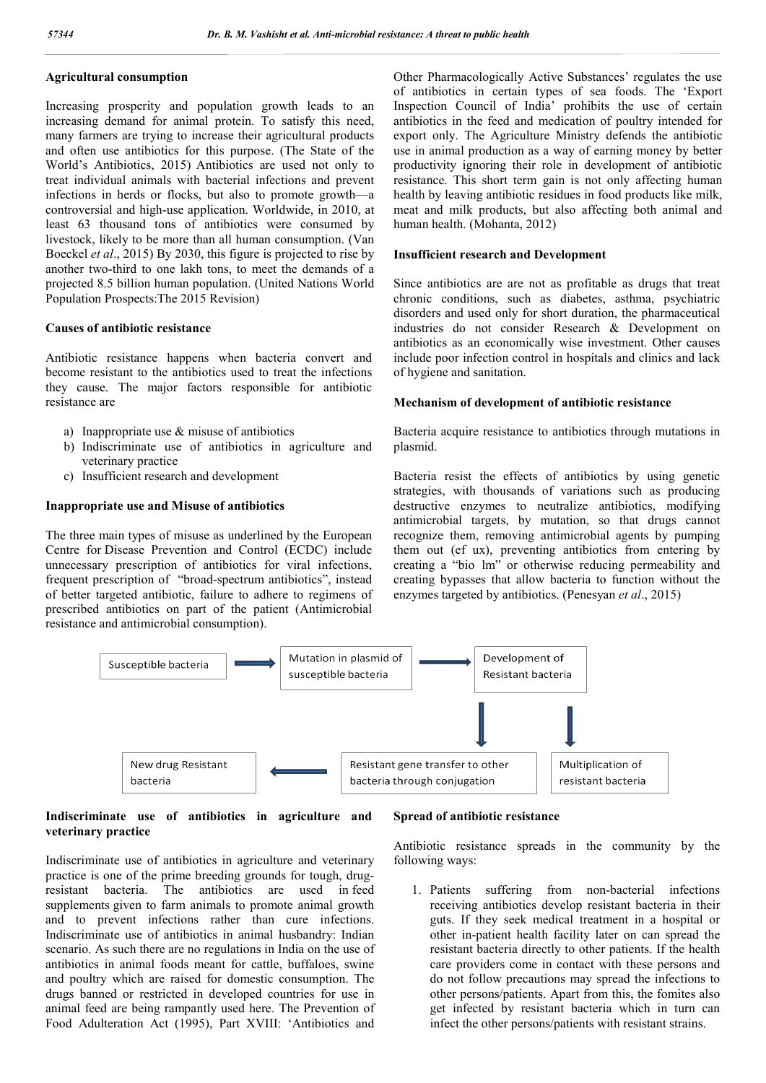## **Agricultural consumption**

Increasing prosperity and population growth leads to an increasing demand for animal protein. To satisfy this need, many farmers are trying to increase their agricultural products and often use antibiotics for this purpose. (The State of the World's Antibiotics, 2015) Antibiotics are used not only to treat individual animals with bacterial infections and prevent infections in herds or flocks, but also to promote growth—a controversial and high-use application. Worldwide, in 2010, at least 63 thousand tons of antibiotics were consumed by livestock, likely to be more than all human consumption. (Van Boeckel *et al*., 2015) By 2030, this figure is projected to rise by another two-third to one lakh tons, to meet the demands of a projected 8.5 billion human population. (United Nations World Population Prospects:The 2015 Revision)

#### **Causes of antibiotic resistance**

Antibiotic resistance happens when bacteria convert and become resistant to the antibiotics used to treat the infections they cause. The major factors responsible for antibiotic resistance are

- a) Inappropriate use & misuse of antibiotics
- b) Indiscriminate use of antibiotics in agriculture and veterinary practice
- c) Insufficient research and development

## **Inappropriate use and Misuse of antibiotics**

The three main types of misuse as underlined by the European Centre for Disease Prevention and Control (ECDC) include unnecessary prescription of antibiotics for viral infections, frequent prescription of "broad-spectrum antibiotics", instead of better targeted antibiotic, failure to adhere to regimens of prescribed antibiotics on part of the patient (Antimicrobial resistance and antimicrobial consumption).

Other Pharmacologically Active Substances' regulates the use of antibiotics in certain types of sea foods. The 'Export Inspection Council of India' prohibits the use of certain antibiotics in the feed and medication of poultry intended for export only. The Agriculture Ministry defends the antibiotic use in animal production as a way of earning money by better productivity ignoring their role in development of antibiotic resistance. This short term gain is not only affecting human health by leaving antibiotic residues in food products like milk, meat and milk products, but also affecting both animal and human health. (Mohanta, 2012)

#### **Insufficient research and Development**

Since antibiotics are are not as profitable as drugs that treat chronic conditions, such as diabetes, asthma, psychiatric disorders and used only for short duration, the pharmaceutical industries do not consider Research & Development on antibiotics as an economically wise investment. Other causes include poor infection control in hospitals and clinics and lack of hygiene and sanitation.

#### **Mechanism of development of antibiotic resistance**

Bacteria acquire resistance to antibiotics through mutations in plasmid.

Bacteria resist the effects of antibiotics by using genetic strategies, with thousands of variations such as producing destructive enzymes to neutralize antibiotics, modifying antimicrobial targets, by mutation, so that drugs cannot recognize them, removing antimicrobial agents by pumping them out (ef ux), preventing antibiotics from entering by creating a "bio lm" or otherwise reducing permeability and creating bypasses that allow bacteria to function without the enzymes targeted by antibiotics. (Penesyan *et al*., 2015)



### **Indiscriminate use of antibiotics in agriculture and veterinary practice**

Indiscriminate use of antibiotics in agriculture and veterinary practice is one of the prime breeding grounds for tough, drugresistant bacteria. The antibiotics are used in feed supplements given to farm animals to promote animal growth and to prevent infections rather than cure infections. Indiscriminate use of antibiotics in animal husbandry: Indian scenario. As such there are no regulations in India on the use of antibiotics in animal foods meant for cattle, buffaloes, swine and poultry which are raised for domestic consumption. The drugs banned or restricted in developed countries for use in animal feed are being rampantly used here. The Prevention of Food Adulteration Act (1995), Part XVIII: 'Antibiotics and

#### **Spread of antibiotic resistance**

Antibiotic resistance spreads in the community by the following ways:

1. Patients suffering from non-bacterial infections receiving antibiotics develop resistant bacteria in their guts. If they seek medical treatment in a hospital or other in-patient health facility later on can spread the resistant bacteria directly to other patients. If the health care providers come in contact with these persons and do not follow precautions may spread the infections to other persons/patients. Apart from this, the fomites also get infected by resistant bacteria which in turn can infect the other persons/patients with resistant strains.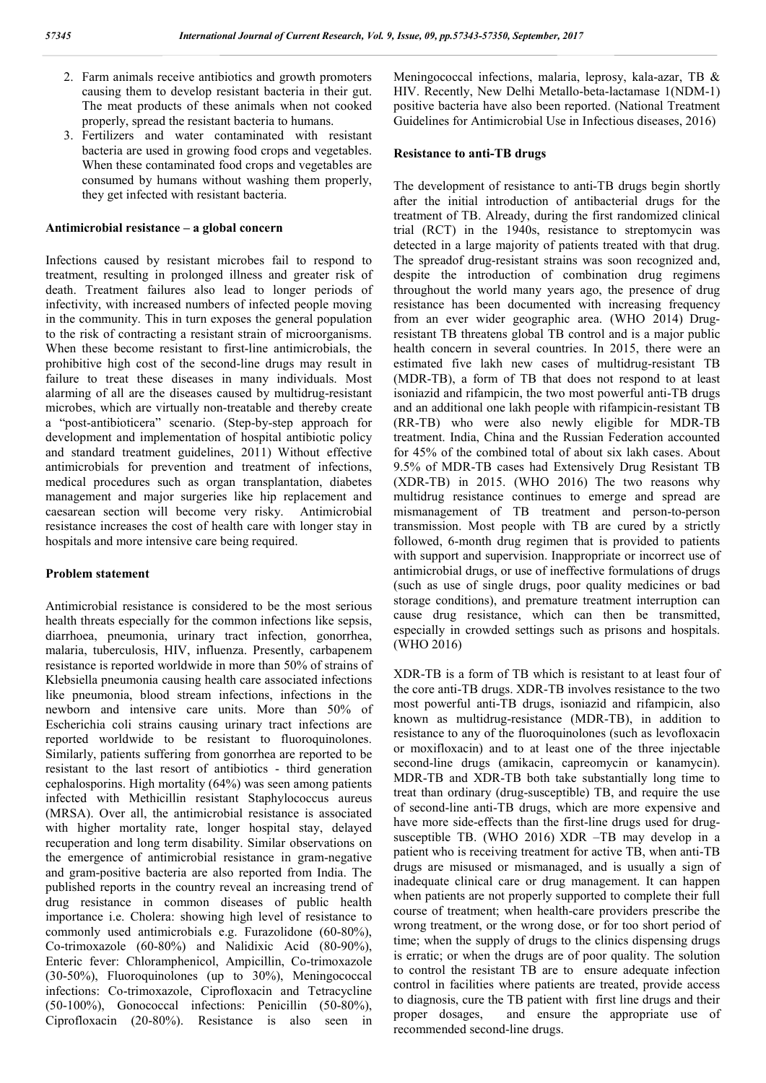- 2. Farm animals receive antibiotics and growth promoters causing them to develop resistant bacteria in their gut. The meat products of these animals when not cooked properly, spread the resistant bacteria to humans.
- 3. Fertilizers and water contaminated with resistant bacteria are used in growing food crops and vegetables. When these contaminated food crops and vegetables are consumed by humans without washing them properly, they get infected with resistant bacteria.

#### **Antimicrobial resistance – a global concern**

Infections caused by resistant microbes fail to respond to treatment, resulting in prolonged illness and greater risk of death. Treatment failures also lead to longer periods of infectivity, with increased numbers of infected people moving in the community. This in turn exposes the general population to the risk of contracting a resistant strain of microorganisms. When these become resistant to first-line antimicrobials, the prohibitive high cost of the second-line drugs may result in failure to treat these diseases in many individuals. Most alarming of all are the diseases caused by multidrug-resistant microbes, which are virtually non-treatable and thereby create a "post-antibioticera" scenario. (Step-by-step approach for development and implementation of hospital antibiotic policy and standard treatment guidelines, 2011) Without effective antimicrobials for prevention and treatment of infections, medical procedures such as organ transplantation, diabetes management and major surgeries like hip replacement and caesarean section will become very risky. Antimicrobial resistance increases the cost of health care with longer stay in hospitals and more intensive care being required.

#### **Problem statement**

Antimicrobial resistance is considered to be the most serious health threats especially for the common infections like sepsis, diarrhoea, pneumonia, urinary tract infection, gonorrhea, malaria, tuberculosis, HIV, influenza. Presently, carbapenem resistance is reported worldwide in more than 50% of strains of Klebsiella pneumonia causing health care associated infections like pneumonia, blood stream infections, infections in the newborn and intensive care units. More than 50% of Escherichia coli strains causing urinary tract infections are reported worldwide to be resistant to fluoroquinolones. Similarly, patients suffering from gonorrhea are reported to be resistant to the last resort of antibiotics - third generation cephalosporins. High mortality (64%) was seen among patients infected with Methicillin resistant Staphylococcus aureus (MRSA). Over all, the antimicrobial resistance is associated with higher mortality rate, longer hospital stay, delayed recuperation and long term disability. Similar observations on the emergence of antimicrobial resistance in gram-negative and gram-positive bacteria are also reported from India. The published reports in the country reveal an increasing trend of drug resistance in common diseases of public health importance i.e. Cholera: showing high level of resistance to commonly used antimicrobials e.g. Furazolidone (60-80%), Co-trimoxazole (60-80%) and Nalidixic Acid (80-90%), Enteric fever: Chloramphenicol, Ampicillin, Co-trimoxazole (30-50%), Fluoroquinolones (up to 30%), Meningococcal infections: Co-trimoxazole, Ciprofloxacin and Tetracycline (50-100%), Gonococcal infections: Penicillin (50-80%), Ciprofloxacin (20-80%). Resistance is also seen in

Meningococcal infections, malaria, leprosy, kala-azar, TB & HIV. Recently, New Delhi Metallo-beta-lactamase 1(NDM-1) positive bacteria have also been reported. (National Treatment Guidelines for Antimicrobial Use in Infectious diseases, 2016)

#### **Resistance to anti-TB drugs**

The development of resistance to anti-TB drugs begin shortly after the initial introduction of antibacterial drugs for the treatment of TB. Already, during the first randomized clinical trial (RCT) in the 1940s, resistance to streptomycin was detected in a large majority of patients treated with that drug. The spreadof drug-resistant strains was soon recognized and, despite the introduction of combination drug regimens throughout the world many years ago, the presence of drug resistance has been documented with increasing frequency from an ever wider geographic area. (WHO 2014) Drugresistant TB threatens global TB control and is a major public health concern in several countries. In 2015, there were an estimated five lakh new cases of multidrug-resistant TB (MDR-TB), a form of TB that does not respond to at least isoniazid and rifampicin, the two most powerful anti-TB drugs and an additional one lakh people with rifampicin-resistant TB (RR-TB) who were also newly eligible for MDR-TB treatment. India, China and the Russian Federation accounted for 45% of the combined total of about six lakh cases. About 9.5% of MDR-TB cases had Extensively Drug Resistant TB (XDR-TB) in 2015. (WHO 2016) The two reasons why multidrug resistance continues to emerge and spread are mismanagement of TB treatment and person-to-person transmission. Most people with TB are cured by a strictly followed, 6-month drug regimen that is provided to patients with support and supervision. Inappropriate or incorrect use of antimicrobial drugs, or use of ineffective formulations of drugs (such as use of single drugs, poor quality medicines or bad storage conditions), and premature treatment interruption can cause drug resistance, which can then be transmitted, especially in crowded settings such as prisons and hospitals. (WHO 2016)

XDR-TB is a form of TB which is resistant to at least four of the core anti-TB drugs. XDR-TB involves resistance to the two most powerful anti-TB drugs, isoniazid and rifampicin, also known as multidrug-resistance (MDR-TB), in addition to resistance to any of the fluoroquinolones (such as levofloxacin or moxifloxacin) and to at least one of the three injectable second-line drugs (amikacin, capreomycin or kanamycin). MDR-TB and XDR-TB both take substantially long time to treat than ordinary (drug-susceptible) TB, and require the use of second-line anti-TB drugs, which are more expensive and have more side-effects than the first-line drugs used for drugsusceptible TB. (WHO 2016) XDR –TB may develop in a patient who is receiving treatment for active TB, when anti-TB drugs are misused or mismanaged, and is usually a sign of inadequate clinical care or drug management. It can happen when patients are not properly supported to complete their full course of treatment; when health-care providers prescribe the wrong treatment, or the wrong dose, or for too short period of time; when the supply of drugs to the clinics dispensing drugs is erratic; or when the drugs are of poor quality. The solution to control the resistant TB are to ensure adequate infection control in facilities where patients are treated, provide access to diagnosis, cure the TB patient with first line drugs and their proper dosages, and ensure the appropriate use of recommended second-line drugs.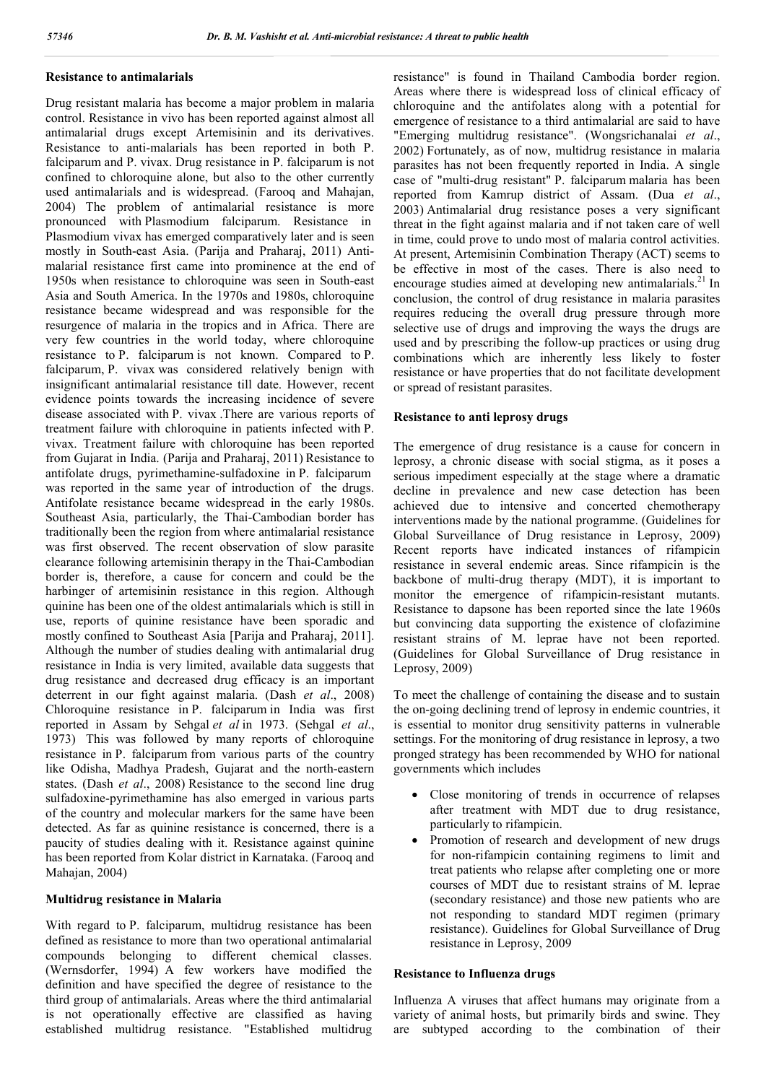## **Resistance to antimalarials**

Drug resistant malaria has become a major problem in malaria control. Resistance in vivo has been reported against almost all antimalarial drugs except Artemisinin and its derivatives. Resistance to anti-malarials has been reported in both P. falciparum and P. vivax. Drug resistance in P. falciparum is not confined to chloroquine alone, but also to the other currently used antimalarials and is widespread. (Farooq and Mahajan, 2004) The problem of antimalarial resistance is more pronounced with Plasmodium falciparum. Resistance in Plasmodium vivax has emerged comparatively later and is seen mostly in South-east Asia. (Parija and Praharaj, 2011) Antimalarial resistance first came into prominence at the end of 1950s when resistance to chloroquine was seen in South-east Asia and South America. In the 1970s and 1980s, chloroquine resistance became widespread and was responsible for the resurgence of malaria in the tropics and in Africa. There are very few countries in the world today, where chloroquine resistance to P. falciparum is not known. Compared to P. falciparum, P. vivax was considered relatively benign with insignificant antimalarial resistance till date. However, recent evidence points towards the increasing incidence of severe disease associated with P. vivax .There are various reports of treatment failure with chloroquine in patients infected with P. vivax. Treatment failure with chloroquine has been reported from Gujarat in India. (Parija and Praharaj, 2011) Resistance to antifolate drugs, pyrimethamine-sulfadoxine in P. falciparum was reported in the same year of introduction of the drugs. Antifolate resistance became widespread in the early 1980s. Southeast Asia, particularly, the Thai-Cambodian border has traditionally been the region from where antimalarial resistance was first observed. The recent observation of slow parasite clearance following artemisinin therapy in the Thai-Cambodian border is, therefore, a cause for concern and could be the harbinger of artemisinin resistance in this region. Although quinine has been one of the oldest antimalarials which is still in use, reports of quinine resistance have been sporadic and mostly confined to Southeast Asia [Parija and Praharaj, 2011]. Although the number of studies dealing with antimalarial drug resistance in India is very limited, available data suggests that drug resistance and decreased drug efficacy is an important deterrent in our fight against malaria. (Dash *et al*., 2008) Chloroquine resistance in P. falciparum in India was first reported in Assam by Sehgal *et al* in 1973. (Sehgal *et al*., 1973) This was followed by many reports of chloroquine resistance in P. falciparum from various parts of the country like Odisha, Madhya Pradesh, Gujarat and the north-eastern states. (Dash *et al*., 2008) Resistance to the second line drug sulfadoxine-pyrimethamine has also emerged in various parts of the country and molecular markers for the same have been detected. As far as quinine resistance is concerned, there is a paucity of studies dealing with it. Resistance against quinine has been reported from Kolar district in Karnataka. (Farooq and Mahajan, 2004)

## **Multidrug resistance in Malaria**

With regard to P. falciparum, multidrug resistance has been defined as resistance to more than two operational antimalarial compounds belonging to different chemical classes. (Wernsdorfer, 1994) A few workers have modified the definition and have specified the degree of resistance to the third group of antimalarials. Areas where the third antimalarial is not operationally effective are classified as having established multidrug resistance. "Established multidrug resistance" is found in Thailand Cambodia border region. Areas where there is widespread loss of clinical efficacy of chloroquine and the antifolates along with a potential for emergence of resistance to a third antimalarial are said to have "Emerging multidrug resistance". (Wongsrichanalai *et al*., 2002) Fortunately, as of now, multidrug resistance in malaria parasites has not been frequently reported in India. A single case of "multi-drug resistant" P. falciparum malaria has been reported from Kamrup district of Assam. (Dua *et al*., 2003) Antimalarial drug resistance poses a very significant threat in the fight against malaria and if not taken care of well in time, could prove to undo most of malaria control activities. At present, Artemisinin Combination Therapy (ACT) seems to be effective in most of the cases. There is also need to encourage studies aimed at developing new antimalarials.<sup>21</sup> In conclusion, the control of drug resistance in malaria parasites requires reducing the overall drug pressure through more selective use of drugs and improving the ways the drugs are used and by prescribing the follow-up practices or using drug combinations which are inherently less likely to foster resistance or have properties that do not facilitate development or spread of resistant parasites.

## **Resistance to anti leprosy drugs**

The emergence of drug resistance is a cause for concern in leprosy, a chronic disease with social stigma, as it poses a serious impediment especially at the stage where a dramatic decline in prevalence and new case detection has been achieved due to intensive and concerted chemotherapy interventions made by the national programme. (Guidelines for Global Surveillance of Drug resistance in Leprosy, 2009) Recent reports have indicated instances of rifampicin resistance in several endemic areas. Since rifampicin is the backbone of multi-drug therapy (MDT), it is important to monitor the emergence of rifampicin-resistant mutants. Resistance to dapsone has been reported since the late 1960s but convincing data supporting the existence of clofazimine resistant strains of M. leprae have not been reported. (Guidelines for Global Surveillance of Drug resistance in Leprosy, 2009)

To meet the challenge of containing the disease and to sustain the on-going declining trend of leprosy in endemic countries, it is essential to monitor drug sensitivity patterns in vulnerable settings. For the monitoring of drug resistance in leprosy, a two pronged strategy has been recommended by WHO for national governments which includes

- Close monitoring of trends in occurrence of relapses after treatment with MDT due to drug resistance, particularly to rifampicin.
- Promotion of research and development of new drugs for non-rifampicin containing regimens to limit and treat patients who relapse after completing one or more courses of MDT due to resistant strains of M. leprae (secondary resistance) and those new patients who are not responding to standard MDT regimen (primary resistance). Guidelines for Global Surveillance of Drug resistance in Leprosy, 2009

#### **Resistance to Influenza drugs**

Influenza A viruses that affect humans may originate from a variety of animal hosts, but primarily birds and swine. They are subtyped according to the combination of their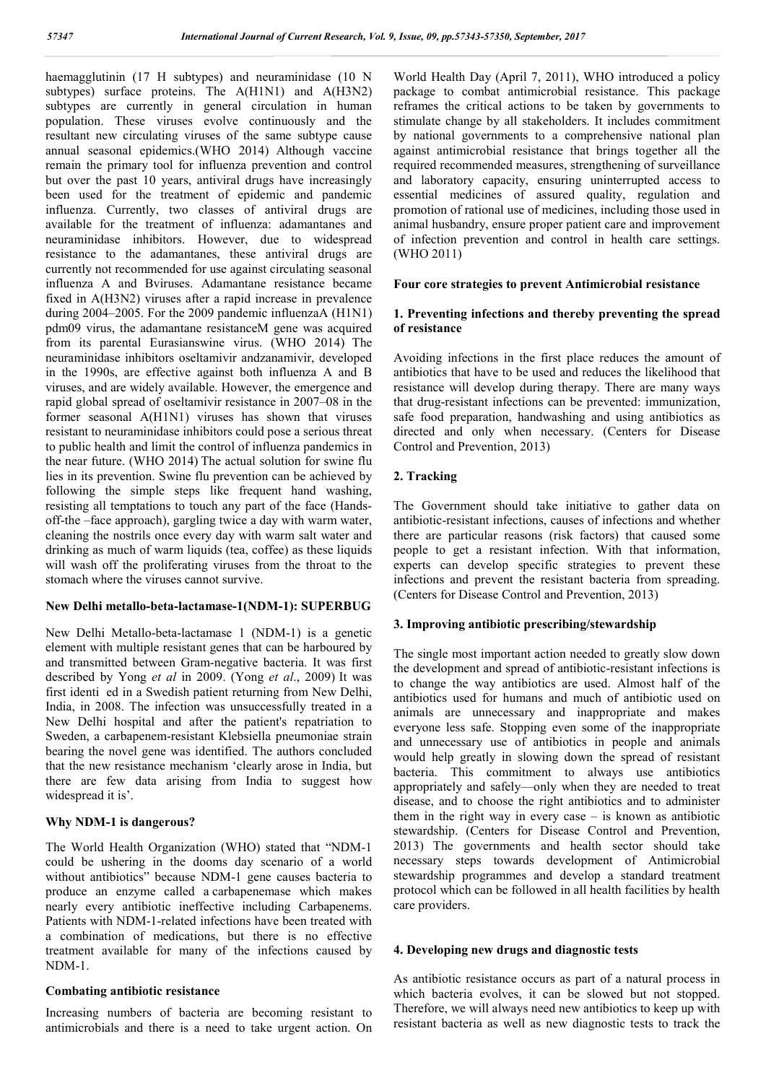haemagglutinin (17 H subtypes) and neuraminidase (10 N subtypes) surface proteins. The A(H1N1) and A(H3N2) subtypes are currently in general circulation in human population. These viruses evolve continuously and the resultant new circulating viruses of the same subtype cause annual seasonal epidemics.(WHO 2014) Although vaccine remain the primary tool for influenza prevention and control but over the past 10 years, antiviral drugs have increasingly been used for the treatment of epidemic and pandemic influenza. Currently, two classes of antiviral drugs are available for the treatment of influenza: adamantanes and neuraminidase inhibitors. However, due to widespread resistance to the adamantanes, these antiviral drugs are currently not recommended for use against circulating seasonal influenza A and Bviruses. Adamantane resistance became fixed in A(H3N2) viruses after a rapid increase in prevalence during 2004–2005. For the 2009 pandemic influenzaA (H1N1) pdm09 virus, the adamantane resistanceM gene was acquired from its parental Eurasianswine virus. (WHO 2014) The neuraminidase inhibitors oseltamivir andzanamivir, developed in the 1990s, are effective against both influenza A and B viruses, and are widely available. However, the emergence and rapid global spread of oseltamivir resistance in 2007–08 in the former seasonal A(H1N1) viruses has shown that viruses resistant to neuraminidase inhibitors could pose a serious threat to public health and limit the control of influenza pandemics in the near future. (WHO 2014) The actual solution for swine flu lies in its prevention. Swine flu prevention can be achieved by following the simple steps like frequent hand washing, resisting all temptations to touch any part of the face (Handsoff-the –face approach), gargling twice a day with warm water, cleaning the nostrils once every day with warm salt water and drinking as much of warm liquids (tea, coffee) as these liquids will wash off the proliferating viruses from the throat to the stomach where the viruses cannot survive.

## **New Delhi metallo-beta-lactamase-1(NDM-1): SUPERBUG**

New Delhi Metallo-beta-lactamase 1 (NDM-1) is a genetic element with multiple resistant genes that can be harboured by and transmitted between Gram-negative bacteria. It was first described by Yong *et al* in 2009. (Yong *et al*., 2009) It was first identi ed in a Swedish patient returning from New Delhi, India, in 2008. The infection was unsuccessfully treated in a New Delhi hospital and after the patient's repatriation to Sweden, a carbapenem-resistant Klebsiella pneumoniae strain bearing the novel gene was identified. The authors concluded that the new resistance mechanism 'clearly arose in India, but there are few data arising from India to suggest how widespread it is'.

## **Why NDM-1 is dangerous?**

The World Health Organization (WHO) stated that "NDM-1 could be ushering in the dooms day scenario of a world without antibiotics" because NDM-1 gene causes bacteria to produce an enzyme called a carbapenemase which makes nearly every antibiotic ineffective including Carbapenems. Patients with NDM-1-related infections have been treated with a combination of medications, but there is no effective treatment available for many of the infections caused by NDM-1.

## **Combating antibiotic resistance**

Increasing numbers of bacteria are becoming resistant to antimicrobials and there is a need to take urgent action. On

World Health Day (April 7, 2011), WHO introduced a policy package to combat antimicrobial resistance. This package reframes the critical actions to be taken by governments to stimulate change by all stakeholders. It includes commitment by national governments to a comprehensive national plan against antimicrobial resistance that brings together all the required recommended measures, strengthening of surveillance and laboratory capacity, ensuring uninterrupted access to essential medicines of assured quality, regulation and promotion of rational use of medicines, including those used in animal husbandry, ensure proper patient care and improvement of infection prevention and control in health care settings. (WHO 2011)

## **Four core strategies to prevent Antimicrobial resistance**

## **1. Preventing infections and thereby preventing the spread of resistance**

Avoiding infections in the first place reduces the amount of antibiotics that have to be used and reduces the likelihood that resistance will develop during therapy. There are many ways that drug-resistant infections can be prevented: immunization, safe food preparation, handwashing and using antibiotics as directed and only when necessary. (Centers for Disease Control and Prevention, 2013)

## **2. Tracking**

The Government should take initiative to gather data on antibiotic-resistant infections, causes of infections and whether there are particular reasons (risk factors) that caused some people to get a resistant infection. With that information, experts can develop specific strategies to prevent these infections and prevent the resistant bacteria from spreading. (Centers for Disease Control and Prevention, 2013)

## **3. Improving antibiotic prescribing/stewardship**

The single most important action needed to greatly slow down the development and spread of antibiotic-resistant infections is to change the way antibiotics are used. Almost half of the antibiotics used for humans and much of antibiotic used on animals are unnecessary and inappropriate and makes everyone less safe. Stopping even some of the inappropriate and unnecessary use of antibiotics in people and animals would help greatly in slowing down the spread of resistant bacteria. This commitment to always use antibiotics appropriately and safely—only when they are needed to treat disease, and to choose the right antibiotics and to administer them in the right way in every case  $-$  is known as antibiotic stewardship. (Centers for Disease Control and Prevention, 2013) The governments and health sector should take necessary steps towards development of Antimicrobial stewardship programmes and develop a standard treatment protocol which can be followed in all health facilities by health care providers.

## **4. Developing new drugs and diagnostic tests**

As antibiotic resistance occurs as part of a natural process in which bacteria evolves, it can be slowed but not stopped. Therefore, we will always need new antibiotics to keep up with resistant bacteria as well as new diagnostic tests to track the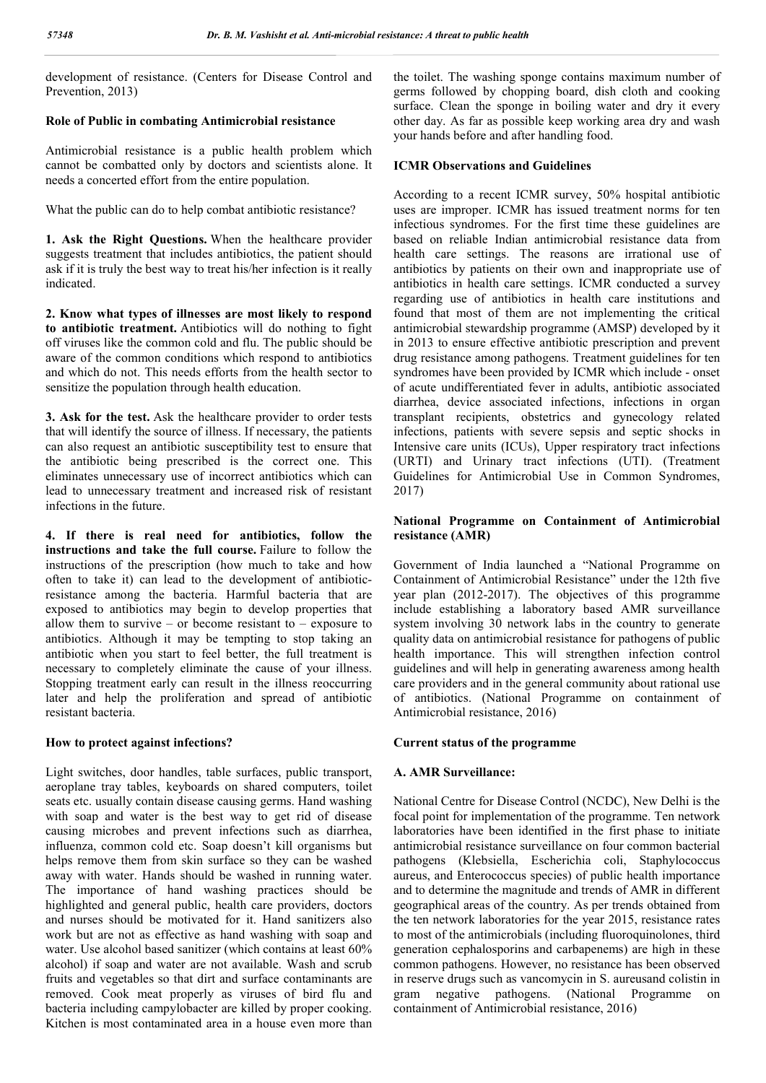development of resistance. (Centers for Disease Control and Prevention, 2013)

## **Role of Public in combating Antimicrobial resistance**

Antimicrobial resistance is a public health problem which cannot be combatted only by doctors and scientists alone. It needs a concerted effort from the entire population.

What the public can do to help combat antibiotic resistance?

**1. Ask the Right Questions.** When the healthcare provider suggests treatment that includes antibiotics, the patient should ask if it is truly the best way to treat his/her infection is it really indicated.

**2. Know what types of illnesses are most likely to respond to antibiotic treatment.** Antibiotics will do nothing to fight off viruses like the common cold and flu. The public should be aware of the common conditions which respond to antibiotics and which do not. This needs efforts from the health sector to sensitize the population through health education.

**3. Ask for the test.** Ask the healthcare provider to order tests that will identify the source of illness. If necessary, the patients can also request an antibiotic susceptibility test to ensure that the antibiotic being prescribed is the correct one. This eliminates unnecessary use of incorrect antibiotics which can lead to unnecessary treatment and increased risk of resistant infections in the future.

**4. If there is real need for antibiotics, follow the instructions and take the full course.** Failure to follow the instructions of the prescription (how much to take and how often to take it) can lead to the development of antibioticresistance among the bacteria. Harmful bacteria that are exposed to antibiotics may begin to develop properties that allow them to survive – or become resistant to – exposure to antibiotics. Although it may be tempting to stop taking an antibiotic when you start to feel better, the full treatment is necessary to completely eliminate the cause of your illness. Stopping treatment early can result in the illness reoccurring later and help the proliferation and spread of antibiotic resistant bacteria.

#### **How to protect against infections?**

Light switches, door handles, table surfaces, public transport, aeroplane tray tables, keyboards on shared computers, toilet seats etc. usually contain disease causing germs. Hand washing with soap and water is the best way to get rid of disease causing microbes and prevent infections such as diarrhea, influenza, common cold etc. Soap doesn't kill organisms but helps remove them from skin surface so they can be washed away with water. Hands should be washed in running water. The importance of hand washing practices should be highlighted and general public, health care providers, doctors and nurses should be motivated for it. Hand sanitizers also work but are not as effective as hand washing with soap and water. Use alcohol based sanitizer (which contains at least 60% alcohol) if soap and water are not available. Wash and scrub fruits and vegetables so that dirt and surface contaminants are removed. Cook meat properly as viruses of bird flu and bacteria including campylobacter are killed by proper cooking. Kitchen is most contaminated area in a house even more than

the toilet. The washing sponge contains maximum number of germs followed by chopping board, dish cloth and cooking surface. Clean the sponge in boiling water and dry it every other day. As far as possible keep working area dry and wash your hands before and after handling food.

#### **ICMR Observations and Guidelines**

According to a recent ICMR survey, 50% hospital antibiotic uses are improper. ICMR has issued treatment norms for ten infectious syndromes. For the first time these guidelines are based on reliable Indian antimicrobial resistance data from health care settings. The reasons are irrational use of antibiotics by patients on their own and inappropriate use of antibiotics in health care settings. ICMR conducted a survey regarding use of antibiotics in health care institutions and found that most of them are not implementing the critical antimicrobial stewardship programme (AMSP) developed by it in 2013 to ensure effective antibiotic prescription and prevent drug resistance among pathogens. Treatment guidelines for ten syndromes have been provided by ICMR which include - onset of acute undifferentiated fever in adults, antibiotic associated diarrhea, device associated infections, infections in organ transplant recipients, obstetrics and gynecology related infections, patients with severe sepsis and septic shocks in Intensive care units (ICUs), Upper respiratory tract infections (URTI) and Urinary tract infections (UTI). (Treatment Guidelines for Antimicrobial Use in Common Syndromes, 2017)

## **National Programme on Containment of Antimicrobial resistance (AMR)**

Government of India launched a "National Programme on Containment of Antimicrobial Resistance" under the 12th five year plan (2012-2017). The objectives of this programme include establishing a laboratory based AMR surveillance system involving 30 network labs in the country to generate quality data on antimicrobial resistance for pathogens of public health importance. This will strengthen infection control guidelines and will help in generating awareness among health care providers and in the general community about rational use of antibiotics. (National Programme on containment of Antimicrobial resistance, 2016)

#### **Current status of the programme**

#### **A. AMR Surveillance:**

National Centre for Disease Control (NCDC), New Delhi is the focal point for implementation of the programme. Ten network laboratories have been identified in the first phase to initiate antimicrobial resistance surveillance on four common bacterial pathogens (Klebsiella, Escherichia coli, Staphylococcus aureus, and Enterococcus species) of public health importance and to determine the magnitude and trends of AMR in different geographical areas of the country. As per trends obtained from the ten network laboratories for the year 2015, resistance rates to most of the antimicrobials (including fluoroquinolones, third generation cephalosporins and carbapenems) are high in these common pathogens. However, no resistance has been observed in reserve drugs such as vancomycin in S. aureusand colistin in gram negative pathogens. (National Programme on containment of Antimicrobial resistance, 2016)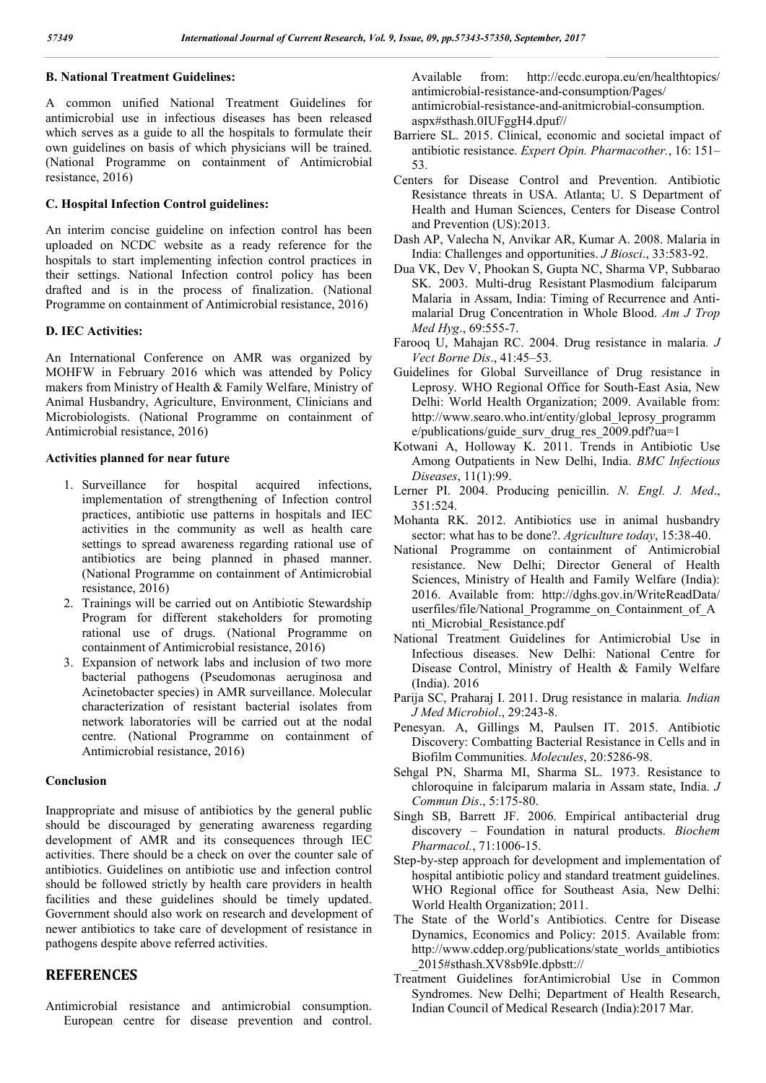## **B. National Treatment Guidelines:**

A common unified National Treatment Guidelines for antimicrobial use in infectious diseases has been released which serves as a guide to all the hospitals to formulate their own guidelines on basis of which physicians will be trained. (National Programme on containment of Antimicrobial resistance, 2016)

## **C. Hospital Infection Control guidelines:**

An interim concise guideline on infection control has been uploaded on NCDC website as a ready reference for the hospitals to start implementing infection control practices in their settings. National Infection control policy has been drafted and is in the process of finalization. (National Programme on containment of Antimicrobial resistance, 2016)

#### **D. IEC Activities:**

An International Conference on AMR was organized by MOHFW in February 2016 which was attended by Policy makers from Ministry of Health & Family Welfare, Ministry of Animal Husbandry, Agriculture, Environment, Clinicians and Microbiologists. (National Programme on containment of Antimicrobial resistance, 2016)

## **Activities planned for near future**

- 1. Surveillance for hospital acquired infections, implementation of strengthening of Infection control practices, antibiotic use patterns in hospitals and IEC activities in the community as well as health care settings to spread awareness regarding rational use of antibiotics are being planned in phased manner. (National Programme on containment of Antimicrobial resistance, 2016)
- 2. Trainings will be carried out on Antibiotic Stewardship Program for different stakeholders for promoting rational use of drugs. (National Programme on containment of Antimicrobial resistance, 2016)
- 3. Expansion of network labs and inclusion of two more bacterial pathogens (Pseudomonas aeruginosa and Acinetobacter species) in AMR surveillance. Molecular characterization of resistant bacterial isolates from network laboratories will be carried out at the nodal centre. (National Programme on containment of Antimicrobial resistance, 2016)

## **Conclusion**

Inappropriate and misuse of antibiotics by the general public should be discouraged by generating awareness regarding development of AMR and its consequences through IEC activities. There should be a check on over the counter sale of antibiotics. Guidelines on antibiotic use and infection control should be followed strictly by health care providers in health facilities and these guidelines should be timely updated. Government should also work on research and development of newer antibiotics to take care of development of resistance in pathogens despite above referred activities.

## **REFERENCES**

Antimicrobial resistance and antimicrobial consumption. European centre for disease prevention and control. Available from: http://ecdc.europa.eu/en/healthtopics/ antimicrobial-resistance-and-consumption/Pages/ antimicrobial-resistance-and-anitmicrobial-consumption. aspx#sthash.0IUFggH4.dpuf//

- Barriere SL. 2015. Clinical, economic and societal impact of antibiotic resistance. *Expert Opin. Pharmacother.*, 16: 151– 53.
- Centers for Disease Control and Prevention. Antibiotic Resistance threats in USA. Atlanta; U. S Department of Health and Human Sciences, Centers for Disease Control and Prevention (US):2013.
- Dash AP, Valecha N, Anvikar AR, Kumar A. 2008. Malaria in India: Challenges and opportunities. *J Biosci*., 33:583-92.
- Dua VK, Dev V, Phookan S, Gupta NC, Sharma VP, Subbarao SK. 2003. Multi-drug Resistant Plasmodium falciparum Malaria in Assam, India: Timing of Recurrence and Antimalarial Drug Concentration in Whole Blood. *Am J Trop Med Hyg*., 69:555-7.
- Farooq U, Mahajan RC. 2004. Drug resistance in malaria*. J Vect Borne Dis*., 41:45–53.
- Guidelines for Global Surveillance of Drug resistance in Leprosy. WHO Regional Office for South-East Asia, New Delhi: World Health Organization; 2009. Available from: http://www.searo.who.int/entity/global\_leprosy\_programm e/publications/guide\_surv\_drug\_res\_2009.pdf?ua=1
- Kotwani A, Holloway K. 2011. Trends in Antibiotic Use Among Outpatients in New Delhi, India. *BMC Infectious Diseases*, 11(1):99.
- Lerner PI. 2004. Producing penicillin. *N. Engl. J. Med*., 351:524.
- Mohanta RK. 2012. Antibiotics use in animal husbandry sector: what has to be done?. *Agriculture today*, 15:38-40.
- National Programme on containment of Antimicrobial resistance. New Delhi; Director General of Health Sciences, Ministry of Health and Family Welfare (India): 2016. Available from: http://dghs.gov.in/WriteReadData/ userfiles/file/National Programme on Containment of A nti\_Microbial\_Resistance.pdf
- National Treatment Guidelines for Antimicrobial Use in Infectious diseases. New Delhi: National Centre for Disease Control, Ministry of Health & Family Welfare (India). 2016
- Parija SC, Praharaj I. 2011. Drug resistance in malaria*. Indian J Med Microbiol*., 29:243-8.
- Penesyan. A, Gillings M, Paulsen IT. 2015. Antibiotic Discovery: Combatting Bacterial Resistance in Cells and in Biofilm Communities. *Molecules*, 20:5286-98.
- Sehgal PN, Sharma MI, Sharma SL. 1973. Resistance to chloroquine in falciparum malaria in Assam state, India. *J Commun Dis*., 5:175-80.
- Singh SB, Barrett JF. 2006. Empirical antibacterial drug discovery – Foundation in natural products. *Biochem Pharmacol.*, 71:1006-15.
- Step-by-step approach for development and implementation of hospital antibiotic policy and standard treatment guidelines. WHO Regional office for Southeast Asia, New Delhi: World Health Organization; 2011.
- The State of the World's Antibiotics. Centre for Disease Dynamics, Economics and Policy: 2015. Available from: http://www.cddep.org/publications/state\_worlds\_antibiotics \_2015#sthash.XV8sb9Ie.dpbstt://
- Treatment Guidelines forAntimicrobial Use in Common Syndromes. New Delhi; Department of Health Research, Indian Council of Medical Research (India):2017 Mar.